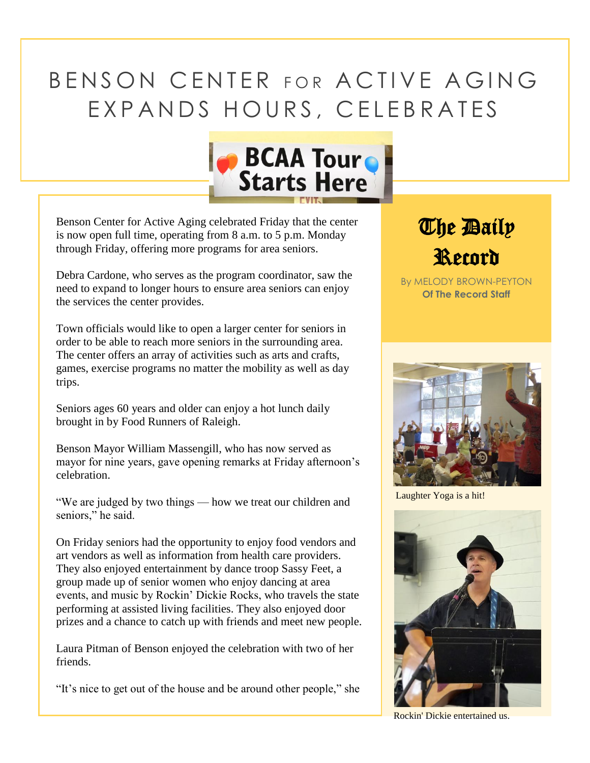## BENSON CENTER FOR ACTIVE AGING EXPANDS HOURS, CELEBRATES



Benson Center for Active Aging celebrated Friday that the center is now open full time, operating from 8 a.m. to 5 p.m. Monday through Friday, offering more programs for area seniors.

Debra Cardone, who serves as the program coordinator, saw the need to expand to longer hours to ensure area seniors can enjoy the services the center provides.

Town officials would like to open a larger center for seniors in order to be able to reach more seniors in the surrounding area. The center offers an array of activities such as arts and crafts, games, exercise programs no matter the mobility as well as day trips.

Seniors ages 60 years and older can enjoy a hot lunch daily brought in by Food Runners of Raleigh.

Benson Mayor William Massengill, who has now served as mayor for nine years, gave opening remarks at Friday afternoon's celebration.

"We are judged by two things — how we treat our children and seniors," he said.

On Friday seniors had the opportunity to enjoy food vendors and art vendors as well as information from health care providers. They also enjoyed entertainment by dance troop Sassy Feet, a group made up of senior women who enjoy dancing at area events, and music by Rockin' Dickie Rocks, who travels the state performing at assisted living facilities. They also enjoyed door prizes and a chance to catch up with friends and meet new people.

Laura Pitman of Benson enjoyed the celebration with two of her friends.

"It's nice to get out of the house and be around other people," she

**The Baily** Record

By MELODY BROWN-PEYTON **Of The Record Staff**



Laughter Yoga is a hit!



Rockin' Dickie entertained us.